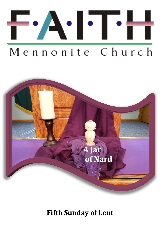

# Mennonite Church



# **Fifth Sunday of Lent**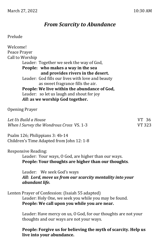# *From Scarcity to Abundance*

#### Prelude

Welcome! Peace Prayer Call to Worship Leader: Together we seek the way of God, **People: who makes a way in the sea and provides rivers in the desert.** Leader: God fills our lives with love and beauty as sweet fragrance fills the air. **People: We live within the abundance of God,** Leader: so let us laugh and shout for joy *All:* **as we worship God together.**

Opening Prayer

| Let Us Build a House                     | VT 36  |
|------------------------------------------|--------|
| When I Survey the Wondrous Cross VS. 1-3 | VT 323 |

Psalm 126; Philippians 3: 4b-14 Children's Time Adapted from John 12: 1-8

Responsive Reading:

Leader: Your ways, O God, are higher than our ways. **People: Your thoughts are higher than our thoughts**.

Leader: We seek God's ways *All: Lord, move us from our scarcity mentality into your abundant life.*

Lenten Prayer of Confession: (Isaiah 55 adapted) Leader: Holy One, we seek you while you may be found. **People: We call upon you while you are near.**

> Leader: Have mercy on us, O God, for our thoughts are not your thoughts and our ways are not your ways.

**People: Forgive us for believing the myth of scarcity. Help us live into your abundance.**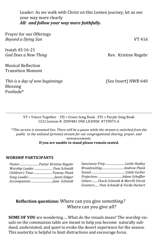Leader: As we walk with Christ on this Lenten journey, let us see your way more clearly *All: and follow your way more faithfully.*

| Prayer for our Offerings<br>Beyond a Dying Sun        | VT 416               |
|-------------------------------------------------------|----------------------|
| Isaiah 43:16-21<br>God Does a New Thing               | Rev. Kristine Regehr |
| <b>Musical Reflection</b><br><b>Transition Moment</b> |                      |

*This is a day of new beginnings* (See Insert) HWB 640 Blessing Postlude\*

VT = Voices Together STJ = Green Song Book STS = Purple Song Book CCLI License #: 2009481 ONE LICENSE #739073-A

\**This service is streamed live. There will be a pause while the stream is switched from the public to the unlisted (private) stream for our congregational sharing, prayer, and announcements.* 

#### **If you are unable to stand please remain seated.**

#### **WORSHIP PARTICIPANTS**

| Pastor Pastor Kristine Regehr |
|-------------------------------|
| Worship Leader  Pam Schmidt   |
| Children's Time  Tammy Plank  |
|                               |
|                               |
|                               |

| Sanctuary Prep Leslie Hadley          |  |
|---------------------------------------|--|
| BroadcastingAndrew Plank              |  |
|                                       |  |
|                                       |  |
| Ushers  Chuck Schmidt & Merrill Unruh |  |
| Greeters Pam Schmidt & Verda Deckert  |  |

## **Reflection questions:** Where can you give *something?*  Where can you give *all?*

**SOME OF YOU** are wondering…. What do the visuals mean? The worship visuals on the communion table are meant to help you become naturally subdued, understated, and quiet to evoke the desert experience for the season. This austerity is helpful to limit distractions and encourage focus.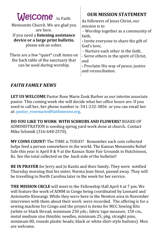| <b>Welcome</b> to Faith<br>Mennonite Church. We are glad you<br>are here.<br>If you need a listening assistance<br>device or a large print bulletin,<br>please ask an usher.<br>There are a few *quiet* craft items on<br>the back table of the sanctuary that<br>can be used during worship. | <b>OUR MISSION STATEMENT</b><br>As followers of Jesus Christ, our<br>mission is to<br>- Worship together as a community of<br>faith,<br>- Invite everyone to share the gift of<br>God's love,<br>- Nurture each other in the faith,<br>- Serve others in the spirit of Christ,<br>and<br>- Proclaim His way of peace, justice |
|-----------------------------------------------------------------------------------------------------------------------------------------------------------------------------------------------------------------------------------------------------------------------------------------------|-------------------------------------------------------------------------------------------------------------------------------------------------------------------------------------------------------------------------------------------------------------------------------------------------------------------------------|
|                                                                                                                                                                                                                                                                                               | and reconciliation.                                                                                                                                                                                                                                                                                                           |

# *FAITH FAMILY NEWS*

**LET US WELCOME** Pastor Rose Marie Zook Barber as our interim associate pastor. This coming week she will decide what her office hours are. If you need to call her, her phone number is: 541-232-3856 or you can email her at: [pastor\\_rosemarie@faithmenno.org.](mailto:pastor_rosemarie@faithmenno.org)

**DO YOU LIKE TO WORK WITH SCHRUBS AND FLOWERS?** BOARD OF ADMINISTRATION is needing spring yard work done at church.. Contact Mike Schmidt (316-648-2570).

**MY COINS COUNT**! The TIME is TODAY! Remember each coin collected helps feed a person somewhere in the world. The Kansas Mennonite Relief Sale this year is April 8 & 9 at the Kansas State Fair Grounds in Hutchinson, Ks. See the total collected on the back side of the bulletin!!

**BE IN PRAYER** for Jerry and Jo Kasitz and their family. They were notified Thursday morning that his sister, Norma Jean Stout, passed away. They will be travelling to North Carolina later in the week for her service.

**THE MISSION CRCLE** will meet in the Fellowship Hall April 4 at 7 pm. We will feature the work of AIMM in Congo being coordinated by Leonard and Antoinette Kiswangi. While they were here in the Newton area in November interviews with them about their work were recorded. The offering is for a sewing machine for Congo and the project is items for MCC Sewing Kits (white or black thread, minimum 250 yds.; fabric tape measure, 150 cm., metal medium size thimble; needles, minimum 25; pkg. straight pins, minimum 80, rounds plastic heads; black or white shirt-style buttons). Men are welcome.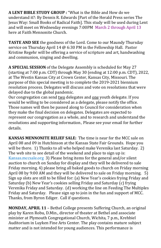**A LENT BIBLE STUDY GROUP :** "What is the Bible and How do we understand it?: By Dennis R. Edwards [Part of the Herald Press series The Jesus Way: Small Books of Radical Faith]. This study will be used during Lent and will meet on Wednesday evenings 7:00PM March 2 through April 13 here at Faith Mennonite Church.

**TASTE AND SEE** the goodness of the Lord. Come to our Maundy Thursday service on Thursday April 14 @ 6:30 PM in the Fellowship Hall. Pastor [Kristine Regehr](mailto:pastor_kristine@faithmenno.org) will be offering a service of scripture and art, handwashing and communion, singing and dwelling.

**A SPECIAL SESSION** of the Delegate Assembly is scheduled for May 27 (starting at 7:00 p.m. CDT) through May 30 (ending at 12:00 p.m. CDT), 2022, at The Westin Kansas City at Crown Center, Kansas City, Missouri. The purpose of this special meeting is to complete the 2019-2021 biennium resolution process. Delegates will discuss and vote on resolutions that were delayed due to the global pandemic.

Our congregation can send two delegates and one youth delegate. If you would be willing to be considered as a delegate, please notify the office. Those names will then be passed along to Council for consideration when they make the final decision on delegates. Delegates are expected to represent our congregation as a whole, and to research and understand the resolutions and supporting information. Please see your email for further details.

**KANSAS MENNONITE RELIEF SALE:** The time is near for the MCC sale on April 08 and 09 in Hutchinson at the Kansas State Fair Grounds. Hope you will be there. 1) Thanks to all who helped make Verenika last Saturday. 2) The web site to see detail of the weekend and place to sign up is: Kansas.mccsale.org 3) Please bring items for the general and/or silent auction to church on Sunday for display and they will be delivered to sale Friday morning. 4) please bring all baked goods to church on Friday morning April 08 by 9:00 AM and they will be delivered to sale on Friday morning. 5) Sign up slots are still to be filled for: (a) New Year's cookies frying Friday and Saturday (b) New Year's cookies selling Friday and Saturday (c) frying Verenika Friday and Saturday. (d) working the line on Feeding The Multiples Friday and Saturday. Please sign up to join in the fun and support of MCC. Thanks, from Byron Ediger. Call if questions.

**MONDAY, APRIL 11** – Bethel College presents Suffering Church, an original play by Karen Robu, D.Min., director of theater at Bethel and associate minister at Plymouth Congregational Church, Wichita, 7 p.m., Krehbiel Auditorium in Luyken Fine Arts Center. The play contains mature subject matter and is not intended for young audiences. This performance is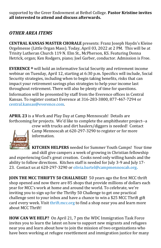supported by the Greer Endowment at Bethel College. **Pastor Kristine invites all interested to attend and discuss afterwards.** 

# *OTHER AREA ITEMS*

**CENTRAL KANSAS MASTER CHORALE** presents: Franz Joseph Haydn's Kleine Orgelmesse (Little Organ Mass). Today, April 03, 2022 at 2 PM. This will be at Trinity Lutheran Church 119 N. Elm St., McPherson, KS. Featuring Donna Hetrick, organ; Ken Rodgers, piano; Joel Garber, conductor. Admission is Free.

**EVERENCE ®** will hold an informative Social Security and retirement income webinar on Tuesday, April 12, starting at 6:30 p.m. Specifics will include, Social Security strategies, including when to begin taking benefits, risks that can impact your retirement savings plus strategies to help your income last throughout retirement. There will also be plenty of time for questions. Information will be presented by staff from the Everence offices in Central Kansas. To register contact Everence at 316-283-3800, 877-467-7294 or [central.kansas@everence.com.](mailto:central.kansas@everence.com)

**APRIL 23** is a Work and Play Day at Camp Mennoscah! Details are forthcoming for projects. We'd like to complete the amphitheater project--a



crew with trucks and dirt haulers/diggers is needed! Contact Camp Mennoscah at 620-297-3290 to register or for more information.

**KITCHEN HELPERS** needed for Summer Youth Camps! Your time and skill give campers a week of growing in Christian fellowship and experiencing God's great creation. Cooks need only willing hands and the ability to follow directions. Kitchen staff is needed for July 3-9 and July 17- 23. Contact us at 620-297-3290 or [olivia.bartel@campmennoscah.org](mailto:olivia.bartel@campmennoscah.org)**.**

**JOIN THE MCC THRIFTY 50 CHALLNEGE!** 50 years ago the first MCC thrift shop opened and now there are 85 shops that provide millions of dollars each year for MCC's work at home and around the world. To celebrate, we're inviting you to sign up for the [Thrifty 50 Challenge](https://thrift.mcc.org/50/challenge) to get one practical challenge sent to your inbox and have a chance to win a \$25 MCC Thrift gift card every week. Visit [thrift.mcc.org](https://thrift.mcc.org/) to find a shop near you and learn more about MCC Thrift!

**HOW CAN WE HELP?** On April 21, 7 pm the WDC Immigration Task Force invites you to learn the latest on how to support new migrants and refugees near you and learn about how to join the mission of two organizations who have been working at refugee resettlement and immigration justice for many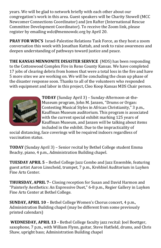years. We will be glad to network briefly with each other about our congregation's work in this area. Guest speakers will be Charity Stowell (MCC Newcomer Connections Coordinator) and Jen Rafter (International Rescue Committee Development Coordinator). To receive the Zoom link, please register by emailing wdc@mennowdc.org by April 20.

**PRAY FOR WDC'S** Israel-Palestine Relations Task Force, as they host a zoom conversation this week with Jonathan Kuttab, and seek to raise awareness and deepen understanding of pathways toward justice and peace.

**THE KANSAS MENNONITE DISASTER SERVICE** (MDS) has been responding to the Cottonwood Complex Fire in Reno County Kansas. We have completed 17 jobs of clearing debris from homes that were a total loss in the fire and have 5 more sites we are working on. We will be concluding the clean up phase of the disaster response soon. Thanks to all of the volunteers who responded with equipment and labor in this project, Cleo Koop Kansas MDS Chair person.



**TODAY** (Sunday April 3) – Sunday-Afternoon-at-the-Museum program, John M. Janzen, "Drums or Organ: Contesting Musical Styles in African Christianity," 3 p.m., Kauffman Museum auditorium. This program is associated with the current special exhibit marking 125 years of Kauffman Museum, and Janzen will be talking about items included in the exhibit. Due to the impracticality of

social distancing, face coverings will be required indoors regardless of vaccination status.

**TODAY** (Sunday April 3) – Senior recital by Bethel College student Emma Beachy, piano, 4 p.m., Administration Building chapel.

**TUESDAY APRIL 5** – Bethel College Jazz Combo and Jazz Ensemble, featuring guest artist Aaron Linscheid, trumpet, 7 p.m., Krehbiel Auditorium in Luyken Fine Arts Center.

**THURSDAY, APRIL 7**– Closing reception for Susan and David Harmon and "Painterly Aesthetics: An Expressive Duet," 6-8 p.m., Regier Gallery in Luyken Fine Arts Center at Bethel College.

**SUNDAY, APRIL 10** – Bethel College Women's Chorus concert, 4 p.m., Administration Building chapel (may be different from some previously printed calendars)

**WEDNESDAY, APRIL 13** – Bethel College faculty jazz recital: Joel Boettger, saxophone, 7 p.m., with William Flynn, guitar, Steve Hatfield, drums, and Chris Shaw, upright bass; Administration Building chapel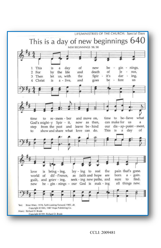

CCLI: 2009481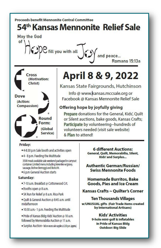

Prepare donations for the General, Kids', Quilt or Silent auctions, bake goods, Kansas Crafts; Participate by volunteering--hundreds of volunteers needed (visit sale website) & Plan to attend!

#### Friday:

■ 4-8:30 p.m Sale booth and activities open

Round

Form:

(Global

Service)

- 4 8 p.m. Feeding the Multitude
- 3500 meals available sale weekend packaged in carryout container. Limited menu including Verenike w/gravy, sausage, Bohne Berroggi and Borscht.
- 6 p.m General Auction starts

#### Saturday:

- 7-10 a.m. Breakfast @ Cottonwood Crt.
- · Booths open @ 8 a.m.
- 5K Run for Relief @ 8 a.m. Rice Park
- Ouilt & General Auction @ 8:45 a.m. until midafternoon
- . 10:30 a.m.- 1 p.m. Feeding the Multitude
- Pride of Kansas Bldg: Kids' Auction @ 10 a.m. followed by Memorabilia Auction @ 11 a.m.
- Gurplus Auction-bidon excess sale supplies @ 230 p.m. (approx)

**6 different Auctions:** General, Quilt, Memorabilia, Silent, Kids' and Surplus...

Authentic German/Russian/ **Swiss Mennonite Foods** 

**Homemade Burritos, Bake Goods, Pies and Ice Cream** 

Kansas Crafts ~ Quilter's Corner

**Ten Thousands Villages** w/UNUSUAL gifts (Fair Trade Items created by International Artisans)

## **Kids' Activities**

9-hole mini-golf & inflatables In Pride of Kansas Bldg **Outdoor: Big Slide**